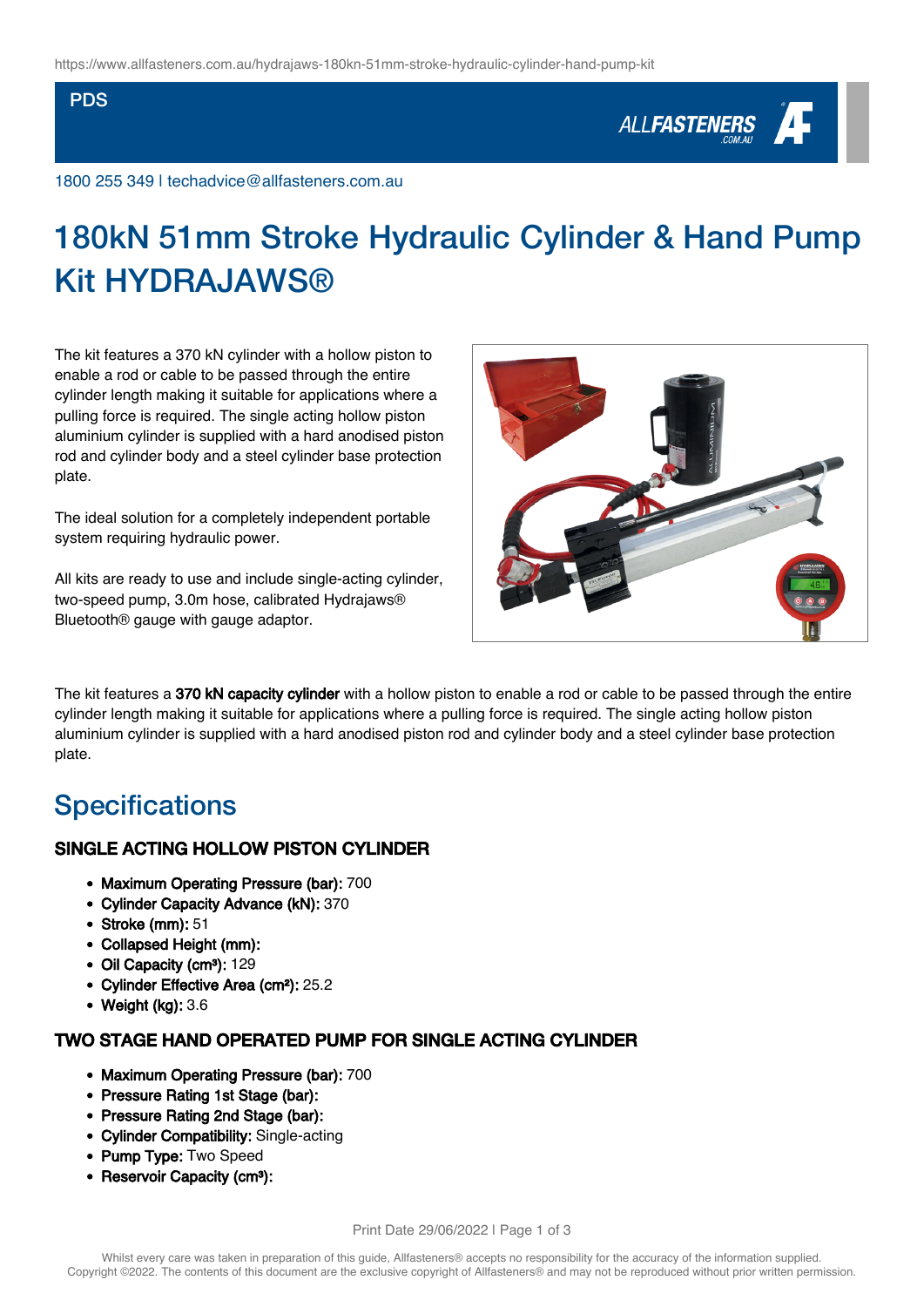#### PDS

# ALL**FASTENERS**

1800 255 349 | techadvice@allfasteners.com.au

# 180kN 51mm Stroke Hydraulic Cylinder & Hand Pump **Kit HYDRA.IAWS®**

The kit features a 370 kN cylinder with a hollow piston to enable a rod or cable to be passed through the entire cylinder length making it suitable for applications where a pulling force is required. The single acting hollow piston aluminium cylinder is supplied with a hard anodised piston rod and cylinder body and a steel cylinder base protection plate.

The ideal solution for a completely independent portable system requiring hydraulic power.

All kits are ready to use and include single-acting cylinder, two-speed pump, 3.0m hose, calibrated Hydrajaws® Bluetooth® gauge with gauge adaptor.



The kit features a 370 kN capacity cylinder with a hollow piston to enable a rod or cable to be passed through the entire cylinder length making it suitable for applications where a pulling force is required. The single acting hollow piston aluminium cylinder is supplied with a hard anodised piston rod and cylinder body and a steel cylinder base protection plate.

### **Specifications**

#### SINGLE ACTING HOLLOW PISTON CYLINDER

- Maximum Operating Pressure (bar): 700
- Cylinder Capacity Advance (kN): 370
- Stroke (mm): 51
- Collapsed Height (mm):
- Oil Capacity (cm<sup>3</sup>): 129
- Cylinder Effective Area (cm²): 25.2
- Weight (kg): 3.6

#### TWO STAGE HAND OPERATED PUMP FOR SINGLE ACTING CYLINDER

- Maximum Operating Pressure (bar): 700
- Pressure Rating 1st Stage (bar):
- Pressure Rating 2nd Stage (bar):
- Cylinder Compatibility: Single-acting
- Pump Type: Two Speed
- Reservoir Capacity (cm<sup>3</sup>):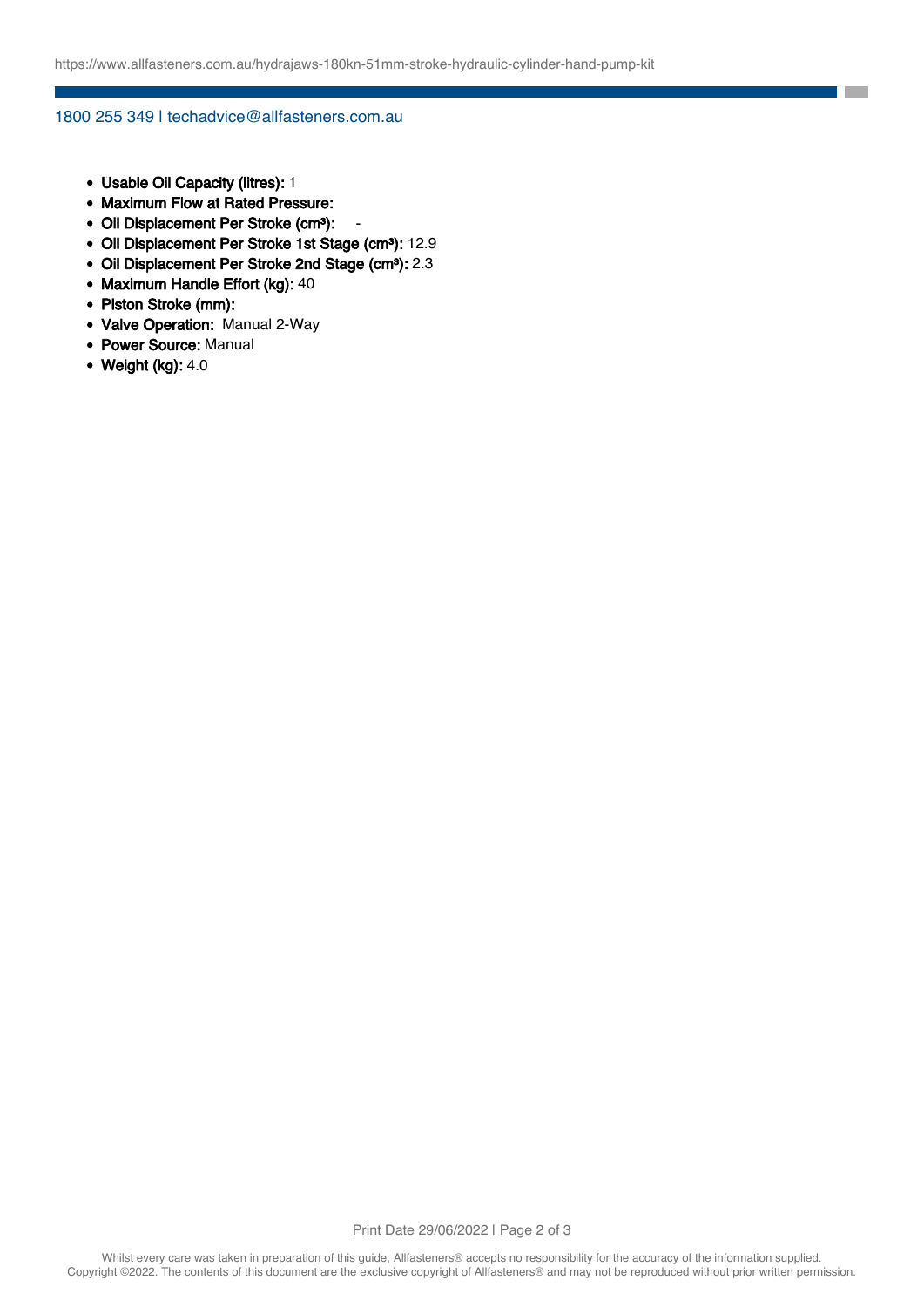**College** 

#### 1800 255 349 | techadvice@allfasteners.com.au

- Usable Oil Capacity (litres): 1
- Maximum Flow at Rated Pressure:
- Oil Displacement Per Stroke (cm<sup>3</sup>):
- Oil Displacement Per Stroke 1st Stage (cm<sup>3</sup>): 12.9
- Oil Displacement Per Stroke 2nd Stage (cm<sup>3</sup>): 2.3
- Maximum Handle Effort (kg): 40
- Piston Stroke (mm):
- Valve Operation: Manual 2-Way
- Power Source: Manual
- $\bullet$  Weight (kg): 4.0